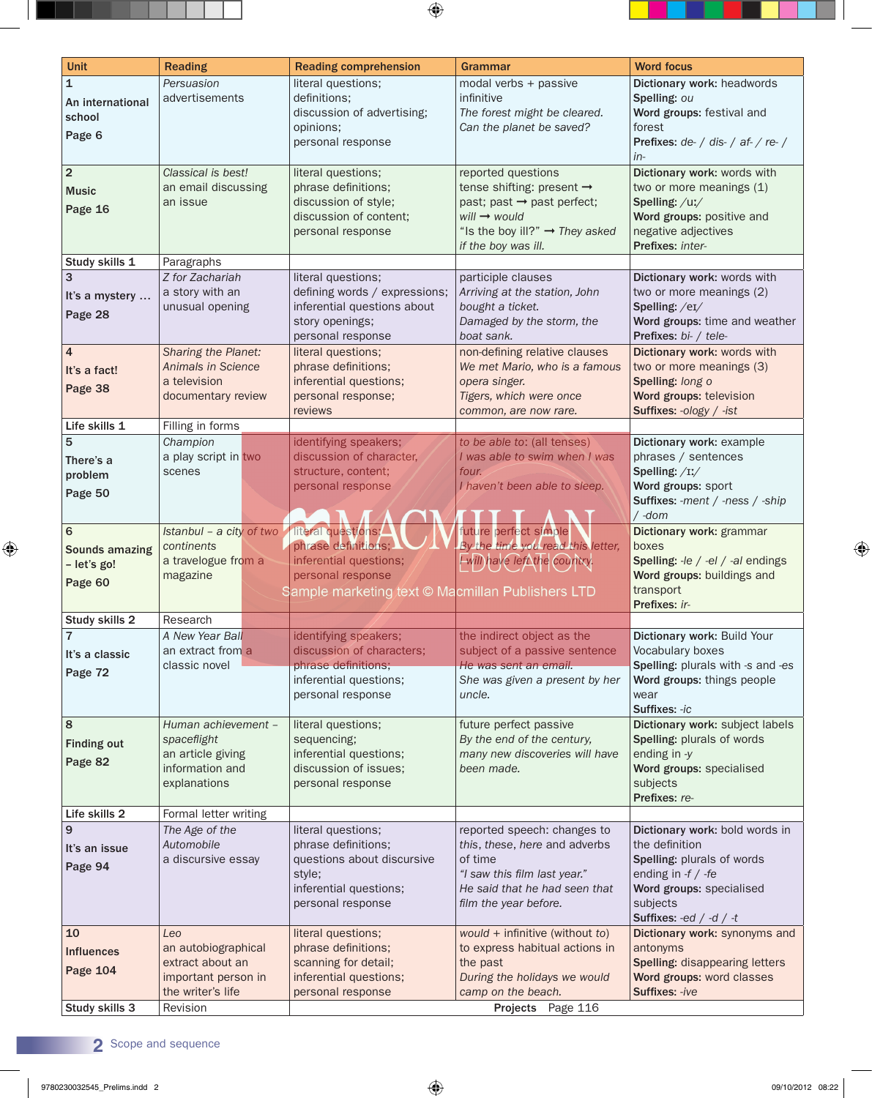| <b>Unit</b>                                          | <b>Reading</b>                                                                              | <b>Reading comprehension</b>                                                                                                     | Grammar                                                                                                                                                                                    | <b>Word focus</b>                                                                                                                                                         |
|------------------------------------------------------|---------------------------------------------------------------------------------------------|----------------------------------------------------------------------------------------------------------------------------------|--------------------------------------------------------------------------------------------------------------------------------------------------------------------------------------------|---------------------------------------------------------------------------------------------------------------------------------------------------------------------------|
| $\mathbf{1}$<br>An international<br>school<br>Page 6 | Persuasion<br>advertisements                                                                | literal questions;<br>definitions;<br>discussion of advertising;<br>opinions;<br>personal response                               | modal verbs + passive<br>infinitive<br>The forest might be cleared.<br>Can the planet be saved?                                                                                            | Dictionary work: headwords<br>Spelling: ou<br>Word groups: festival and<br>forest<br><b>Prefixes:</b> $de$ / dis- / af- / re- /<br>in-                                    |
| $\overline{2}$<br><b>Music</b><br>Page 16            | Classical is best!<br>an email discussing<br>an issue                                       | literal questions;<br>phrase definitions;<br>discussion of style;<br>discussion of content;<br>personal response                 | reported questions<br>tense shifting: present →<br>past; past $\rightarrow$ past perfect;<br>$will \rightarrow would$<br>"Is the boy ill?" $\rightarrow$ They asked<br>if the boy was ill. | Dictionary work: words with<br>two or more meanings (1)<br>Spelling: /uː/<br>Word groups: positive and<br>negative adjectives<br>Prefixes: inter-                         |
| Study skills 1                                       | Paragraphs                                                                                  |                                                                                                                                  |                                                                                                                                                                                            |                                                                                                                                                                           |
| It's a mystery<br>Page 28                            | Z for Zachariah<br>a story with an<br>unusual opening                                       | literal questions;<br>defining words / expressions;<br>inferential questions about<br>story openings;<br>personal response       | participle clauses<br>Arriving at the station, John<br>bought a ticket.<br>Damaged by the storm, the<br>boat sank.                                                                         | Dictionary work: words with<br>two or more meanings (2)<br>Spelling: /eI/<br>Word groups: time and weather<br>Prefixes: bi- / tele-                                       |
| $\overline{4}$<br>It's a fact!<br>Page 38            | Sharing the Planet:<br>Animals in Science<br>a television<br>documentary review             | literal questions;<br>phrase definitions;<br>inferential questions;<br>personal response;<br>reviews                             | non-defining relative clauses<br>We met Mario, who is a famous<br>opera singer.<br>Tigers, which were once<br>common, are now rare.                                                        | Dictionary work: words with<br>two or more meanings (3)<br>Spelling: long o<br>Word groups: television<br>Suffixes: -ology / -ist                                         |
| Life skills 1                                        | Filling in forms                                                                            |                                                                                                                                  |                                                                                                                                                                                            |                                                                                                                                                                           |
| 5<br>There's a<br>problem<br>Page 50                 | Champion<br>a play script in two<br>scenes                                                  | identifying speakers;<br>discussion of character.<br>structure, content;<br>personal response                                    | to be able to: (all tenses)<br>I was able to swim when I was<br>four.<br>I haven't been able to sleep.                                                                                     | Dictionary work: example<br>phrases / sentences<br>Spelling: $/II/$<br>Word groups: sport<br>Suffixes: -ment / -ness / -ship<br>/ -dom                                    |
| 6<br>Sounds amazing<br>- let's go!<br>Page 60        | Istanbul - a city of two Iteral questions;<br>continents<br>a travelogue from a<br>magazine | phrase definitions;<br>inferential questions;<br>personal response<br>Sample marketing text © Macmillan Publishers LTD           | future perfect simple<br>By the time you read this letter,<br>Ewill have let the country.                                                                                                  | Dictionary work: grammar<br>boxes<br>Spelling: -le / -el / -al endings<br>Word groups: buildings and<br>transport<br>Prefixes: ir-                                        |
| Study skills 2                                       | Research                                                                                    |                                                                                                                                  |                                                                                                                                                                                            |                                                                                                                                                                           |
| It's a classic<br>Page 72                            | A New Year Ball<br>an extract from a<br>classic novel                                       | identifying speakers;<br>discussion of characters;<br>phrase definitions;<br>inferential questions;<br>personal response         | the indirect object as the<br>subject of a passive sentence<br>He was sent an email.<br>She was given a present by her<br>uncle.                                                           | Dictionary work: Build Your<br>Vocabulary boxes<br>Spelling: plurals with -s and -es<br>Word groups: things people<br>wear<br>Suffixes: -ic                               |
| 8<br><b>Finding out</b><br>Page 82                   | Human achievement -<br>spaceflight<br>an article giving<br>information and<br>explanations  | literal questions;<br>sequencing;<br>inferential questions;<br>discussion of issues;<br>personal response                        | future perfect passive<br>By the end of the century,<br>many new discoveries will have<br>been made.                                                                                       | Dictionary work: subject labels<br>Spelling: plurals of words<br>ending in -y<br>Word groups: specialised<br>subjects<br>Prefixes: re-                                    |
| Life skills 2                                        | Formal letter writing                                                                       |                                                                                                                                  |                                                                                                                                                                                            |                                                                                                                                                                           |
| 9<br>It's an issue<br>Page 94                        | The Age of the<br>Automobile<br>a discursive essay                                          | literal questions;<br>phrase definitions;<br>questions about discursive<br>style;<br>inferential questions;<br>personal response | reported speech: changes to<br>this, these, here and adverbs<br>of time<br>"I saw this film last year."<br>He said that he had seen that<br>film the year before.                          | Dictionary work: bold words in<br>the definition<br>Spelling: plurals of words<br>ending in $-f / -fe$<br>Word groups: specialised<br>subjects<br>Suffixes: -ed / -d / -t |
| 10<br><b>Influences</b><br>Page 104                  | Leo<br>an autobiographical<br>extract about an<br>important person in<br>the writer's life  | literal questions;<br>phrase definitions;<br>scanning for detail;<br>inferential questions;<br>personal response                 | would + infinitive (without to)<br>to express habitual actions in<br>the past<br>During the holidays we would<br>camp on the beach.                                                        | Dictionary work: synonyms and<br>antonyms<br><b>Spelling: disappearing letters</b><br>Word groups: word classes<br>Suffixes: -ive                                         |
| Study skills 3                                       | Revision                                                                                    |                                                                                                                                  | Projects Page 116                                                                                                                                                                          |                                                                                                                                                                           |